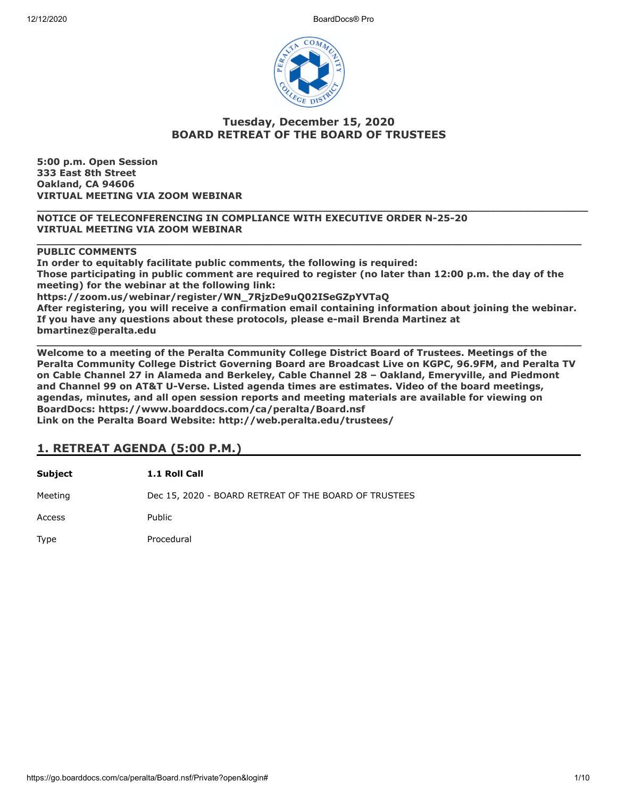

## **Tuesday, December 15, 2020 BOARD RETREAT OF THE BOARD OF TRUSTEES**

**\_\_\_\_\_\_\_\_\_\_\_\_\_\_\_\_\_\_\_\_\_\_\_\_\_\_\_\_\_\_\_\_\_\_\_\_\_\_\_\_\_\_\_\_\_\_\_\_\_\_\_\_\_\_\_\_\_\_\_\_\_\_\_\_\_\_\_\_\_\_\_\_\_\_\_\_\_\_\_\_\_\_\_\_\_**

**\_\_\_\_\_\_\_\_\_\_\_\_\_\_\_\_\_\_\_\_\_\_\_\_\_\_\_\_\_\_\_\_\_\_\_\_\_\_\_\_\_\_\_\_\_\_\_\_\_\_\_\_\_\_\_\_\_\_\_\_\_\_\_\_\_\_\_\_\_\_\_\_\_\_\_\_\_\_\_\_\_\_\_\_**

**5:00 p.m. Open Session 333 East 8th Street Oakland, CA 94606 VIRTUAL MEETING VIA ZOOM WEBINAR**

**NOTICE OF TELECONFERENCING IN COMPLIANCE WITH EXECUTIVE ORDER N-25-20 VIRTUAL MEETING VIA ZOOM WEBINAR**

#### **PUBLIC COMMENTS**

**In order to equitably facilitate public comments, the following is required: Those participating in public comment are required to register (no later than 12:00 p.m. the day of the meeting) for the webinar at the following link: https://zoom.us/webinar/register/WN\_7RjzDe9uQ02ISeGZpYVTaQ After registering, you will receive a confirmation email containing information about joining the webinar. If you have any questions about these protocols, please e-mail Brenda Martinez at bmartinez@peralta.edu**

**\_\_\_\_\_\_\_\_\_\_\_\_\_\_\_\_\_\_\_\_\_\_\_\_\_\_\_\_\_\_\_\_\_\_\_\_\_\_\_\_\_\_\_\_\_\_\_\_\_\_\_\_\_\_\_\_\_\_\_\_\_\_\_\_\_\_\_\_\_\_\_\_\_\_\_\_\_\_\_\_\_\_\_\_ Welcome to a meeting of the Peralta Community College District Board of Trustees. Meetings of the Peralta Community College District Governing Board are Broadcast Live on KGPC, 96.9FM, and Peralta TV on Cable Channel 27 in Alameda and Berkeley, Cable Channel 28 – Oakland, Emeryville, and Piedmont and Channel 99 on AT&T U-Verse. Listed agenda times are estimates. Video of the board meetings, agendas, minutes, and all open session reports and meeting materials are available for viewing on BoardDocs: https://www.boarddocs.com/ca/peralta/Board.nsf Link on the Peralta Board Website: http://web.peralta.edu/trustees/**

## **1. RETREAT AGENDA (5:00 P.M.)**

**Subject 1.1 Roll Call** Meeting **Dec 15, 2020 - BOARD RETREAT OF THE BOARD OF TRUSTEES** Access Public Type Procedural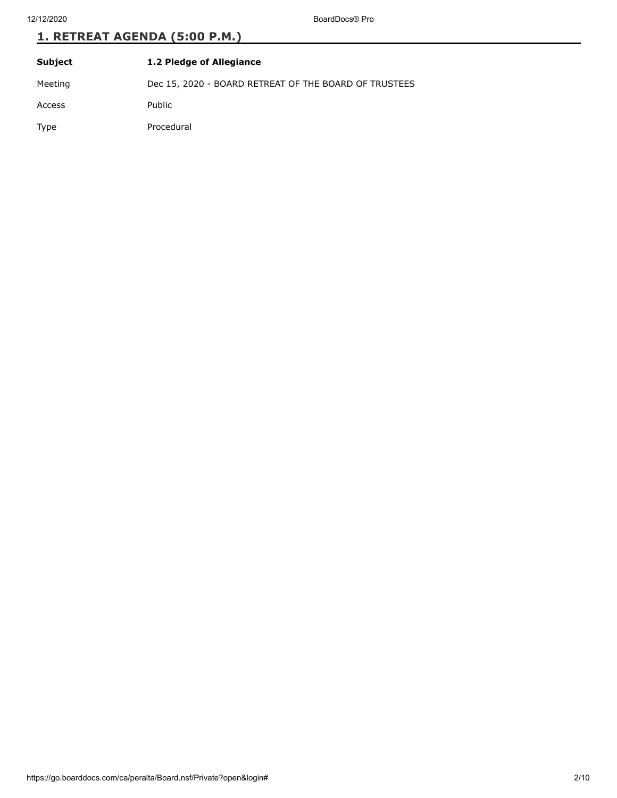12/12/2020 BoardDocs® Pro

# **1. RETREAT AGENDA (5:00 P.M.)**

| Subject | 1.2 Pledge of Allegiance                              |
|---------|-------------------------------------------------------|
| Meeting | Dec 15, 2020 - BOARD RETREAT OF THE BOARD OF TRUSTEES |
| Access  | Public                                                |
| Type    | Procedural                                            |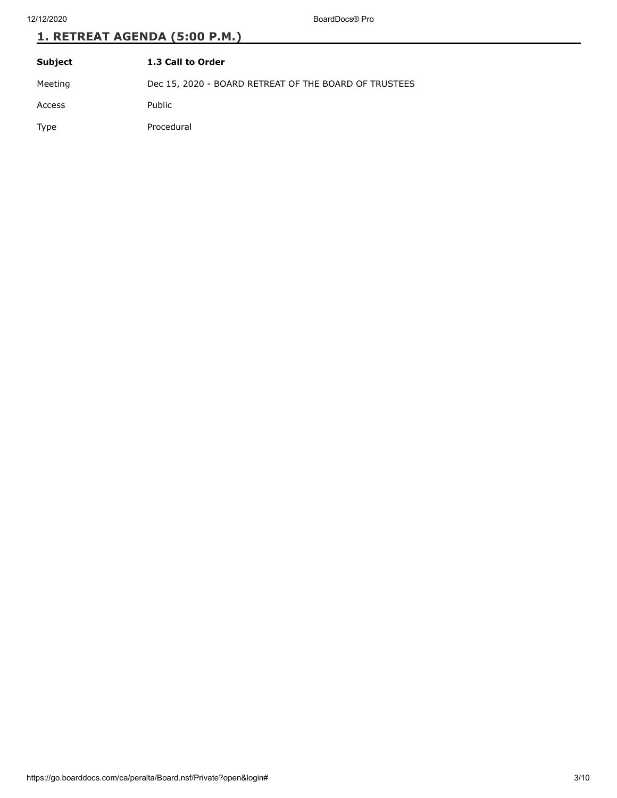12/12/2020 BoardDocs® Pro

# **1. RETREAT AGENDA (5:00 P.M.)**

| Subject | 1.3 Call to Order                                     |
|---------|-------------------------------------------------------|
| Meeting | Dec 15, 2020 - BOARD RETREAT OF THE BOARD OF TRUSTEES |
| Access  | Public                                                |
| Type    | Procedural                                            |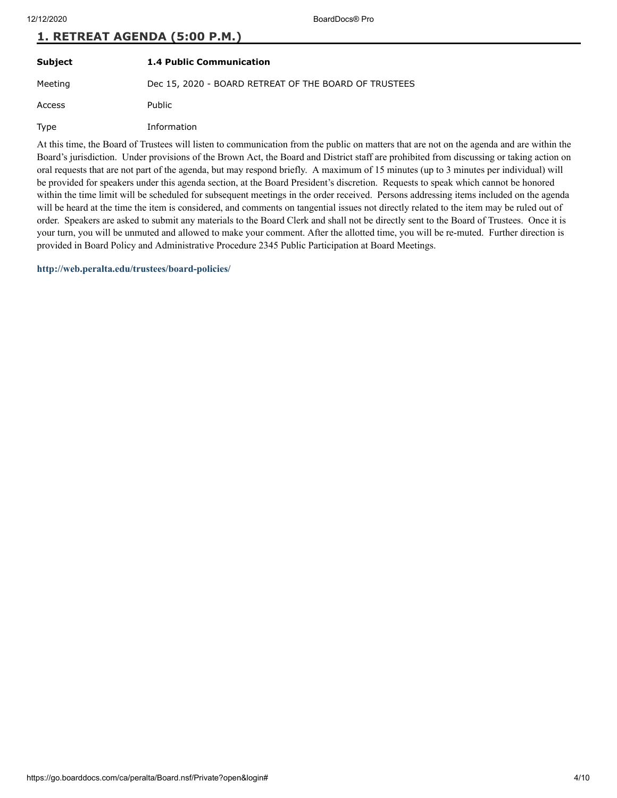| Subject | <b>1.4 Public Communication</b>                       |
|---------|-------------------------------------------------------|
| Meeting | Dec 15, 2020 - BOARD RETREAT OF THE BOARD OF TRUSTEES |
| Access  | Public                                                |
| Type    | Information                                           |

At this time, the Board of Trustees will listen to communication from the public on matters that are not on the agenda and are within the Board's jurisdiction. Under provisions of the Brown Act, the Board and District staff are prohibited from discussing or taking action on oral requests that are not part of the agenda, but may respond briefly. A maximum of 15 minutes (up to 3 minutes per individual) will be provided for speakers under this agenda section, at the Board President's discretion. Requests to speak which cannot be honored within the time limit will be scheduled for subsequent meetings in the order received. Persons addressing items included on the agenda will be heard at the time the item is considered, and comments on tangential issues not directly related to the item may be ruled out of order. Speakers are asked to submit any materials to the Board Clerk and shall not be directly sent to the Board of Trustees. Once it is your turn, you will be unmuted and allowed to make your comment. After the allotted time, you will be re-muted. Further direction is provided in Board Policy and Administrative Procedure 2345 Public Participation at Board Meetings.

**<http://web.peralta.edu/trustees/board-policies/>**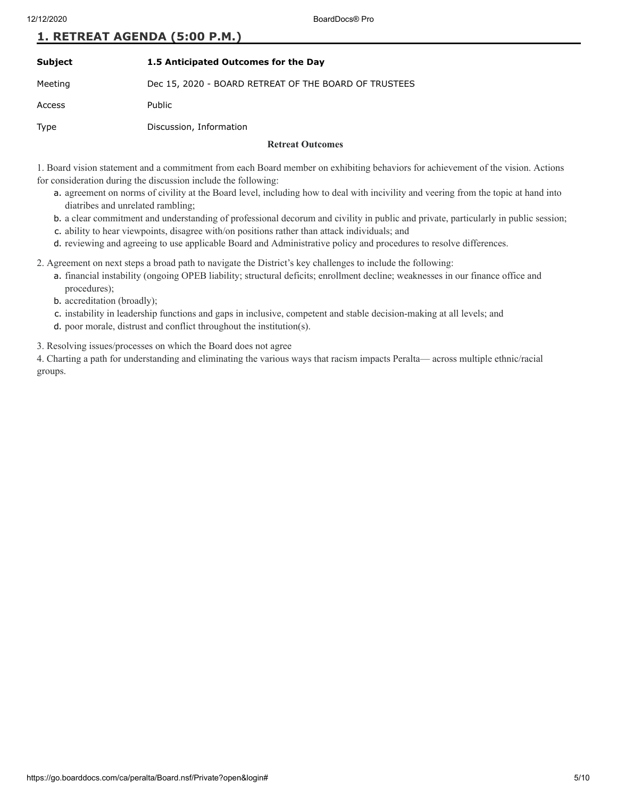| Subject | 1.5 Anticipated Outcomes for the Day                  |
|---------|-------------------------------------------------------|
| Meeting | Dec 15, 2020 - BOARD RETREAT OF THE BOARD OF TRUSTEES |
| Access  | Public                                                |
| Type    | Discussion, Information                               |
|         | <b>Retreat Outcomes</b>                               |

1. Board vision statement and a commitment from each Board member on exhibiting behaviors for achievement of the vision. Actions for consideration during the discussion include the following:

- a. agreement on norms of civility at the Board level, including how to deal with incivility and veering from the topic at hand into diatribes and unrelated rambling;
- b. a clear commitment and understanding of professional decorum and civility in public and private, particularly in public session;
- c. ability to hear viewpoints, disagree with/on positions rather than attack individuals; and
- d. reviewing and agreeing to use applicable Board and Administrative policy and procedures to resolve differences.

2. Agreement on next steps a broad path to navigate the District's key challenges to include the following:

- a. financial instability (ongoing OPEB liability; structural deficits; enrollment decline; weaknesses in our finance office and procedures);
- b. accreditation (broadly);
- c. instability in leadership functions and gaps in inclusive, competent and stable decision-making at all levels; and
- d. poor morale, distrust and conflict throughout the institution(s).

3. Resolving issues/processes on which the Board does not agree

4. Charting a path for understanding and eliminating the various ways that racism impacts Peralta— across multiple ethnic/racial groups.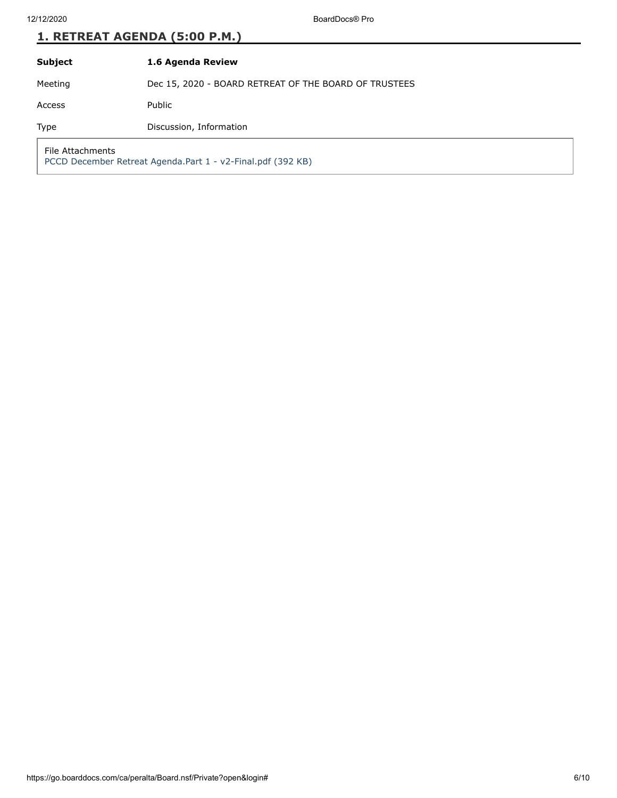| <b>Subject</b> | 1.6 Agenda Review |
|----------------|-------------------|
|                |                   |

Meeting Dec 15, 2020 - BOARD RETREAT OF THE BOARD OF TRUSTEES

Access Public

Type Discussion, Information

File Attachments

[PCCD December Retreat Agenda.Part 1 - v2-Final.pdf \(392 KB\)](https://go.boarddocs.com/ca/peralta/Board.nsf/files/BW8W3U8383C8/$file/PCCD%20December%20Retreat%20Agenda.Part%201%20-%20v2-Final.pdf)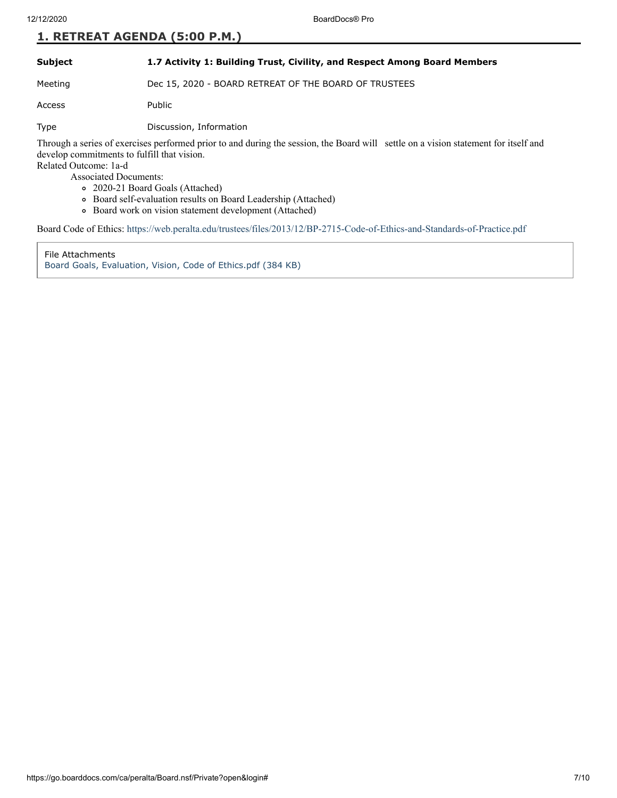#### **Subject 1.7 Activity 1: Building Trust, Civility, and Respect Among Board Members**

Meeting Dec 15, 2020 - BOARD RETREAT OF THE BOARD OF TRUSTEES

Access Public

Type Discussion, Information

Through a series of exercises performed prior to and during the session, the Board will settle on a vision statement for itself and develop commitments to fulfill that vision.

Related Outcome: 1a-d

Associated Documents:

- 2020-21 Board Goals (Attached)
- Board self-evaluation results on Board Leadership (Attached)
	- Board work on vision statement development (Attached)

Board Code of Ethics: <https://web.peralta.edu/trustees/files/2013/12/BP-2715-Code-of-Ethics-and-Standards-of-Practice.pdf>

File Attachments [Board Goals, Evaluation, Vision, Code of Ethics.pdf \(384 KB\)](https://go.boarddocs.com/ca/peralta/Board.nsf/files/BW8VLY81552A/$file/Board%20Goals%2C%20Evaluation%2C%20Vision%2C%20Code%20of%20Ethics.pdf)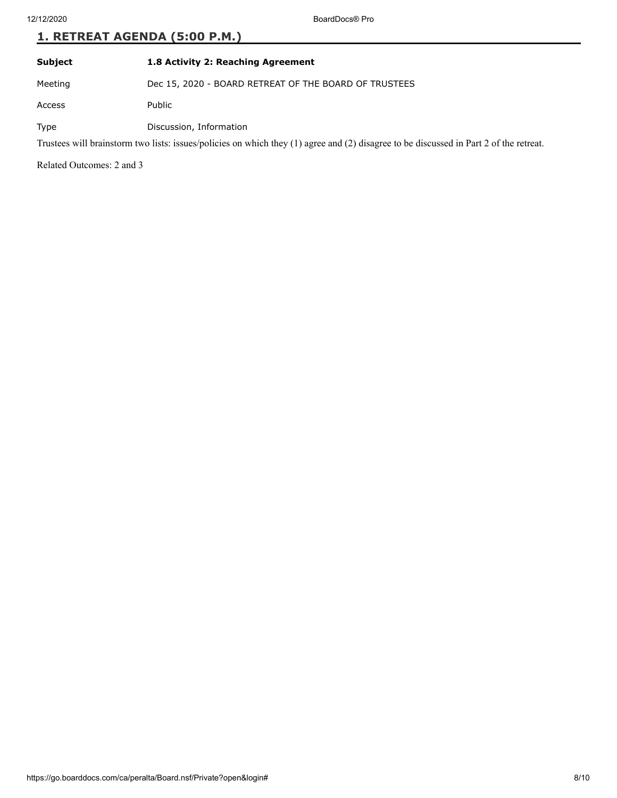### **Subject 1.8 Activity 2: Reaching Agreement**

Meeting Dec 15, 2020 - BOARD RETREAT OF THE BOARD OF TRUSTEES

Access Public

Type Discussion, Information

Trustees will brainstorm two lists: issues/policies on which they (1) agree and (2) disagree to be discussed in Part 2 of the retreat.

Related Outcomes: 2 and 3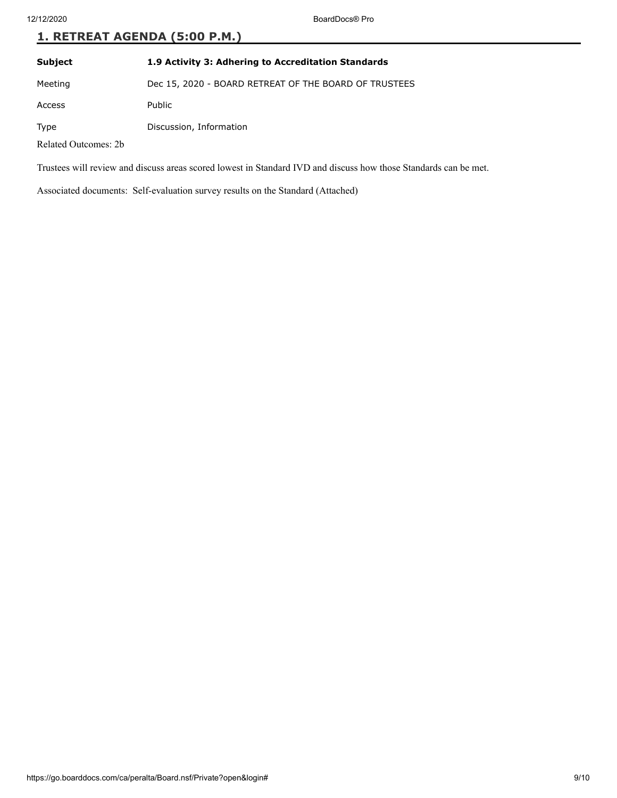**Subject 1.9 Activity 3: Adhering to Accreditation Standards**

Meeting Dec 15, 2020 - BOARD RETREAT OF THE BOARD OF TRUSTEES

Access Public

Type Discussion, Information

Related Outcomes: 2b

Trustees will review and discuss areas scored lowest in Standard IVD and discuss how those Standards can be met.

Associated documents: Self-evaluation survey results on the Standard (Attached)